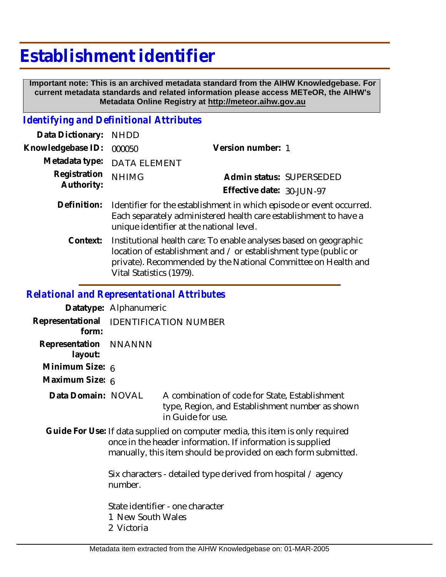## **Establishment identifier**

 **Important note: This is an archived metadata standard from the AIHW Knowledgebase. For current metadata standards and related information please access METeOR, the AIHW's Metadata Online Registry at http://meteor.aihw.gov.au**

## *Identifying and Definitional Attributes*

| Data Dictionary: NHDD    |                                                                            |                           |                          |
|--------------------------|----------------------------------------------------------------------------|---------------------------|--------------------------|
| Knowledgebase ID: 000050 |                                                                            | Version number: 1         |                          |
|                          | Metadata type: DATA ELEMENT                                                |                           |                          |
| Registration NHIMG       |                                                                            |                           | Admin status: SUPERSEDED |
| Authority:               |                                                                            | Effective date: 30-JUN-97 |                          |
|                          | Definition. Identifies for the establishment in which enjoyed an overture. |                           |                          |

- Definition: Identifier for the establishment in which episode or event occurred. Each separately administered health care establishment to have a unique identifier at the national level.
	- Institutional health care: To enable analyses based on geographic location of establishment and / or establishment type (public or private). Recommended by the National Committee on Health and Vital Statistics (1979). **Context:**

## *Relational and Representational Attributes*

**Datatype:** Alphanumeric **Representational** IDENTIFICATION NUMBER  **form: Representation** NNANNN  **layout: Minimum Size:** 6 **Maximum Size:** 6 A combination of code for State, Establishment type, Region, and Establishment number as shown in Guide for use. Guide For Use: If data supplied on computer media, this item is only required once in the header information. If information is supplied **Data Domain:**

> Six characters - detailed type derived from hospital / agency number.

manually, this item should be provided on each form submitted.

State identifier - one character

- 1 New South Wales
- 2 Victoria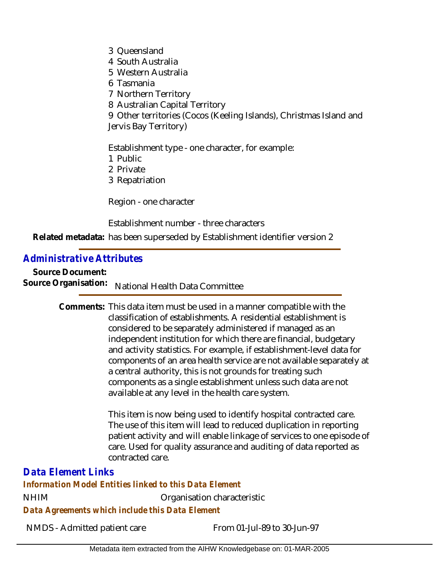- 3 Queensland
- 4 South Australia
- 5 Western Australia
- 6 Tasmania
- 7 Northern Territory
- 8 Australian Capital Territory

9 Other territories (Cocos (Keeling Islands), Christmas Island and Jervis Bay Territory)

Establishment type - one character, for example:

- 1 Public
- 2 Private
- 3 Repatriation

Region - one character

Establishment number - three characters

Related metadata: has been superseded by Establishment identifier version 2

## *Administrative Attributes*

**Source Document:** Source Organisation: National Health Data Committee

> Comments: This data item must be used in a manner compatible with the classification of establishments. A residential establishment is considered to be separately administered if managed as an independent institution for which there are financial, budgetary and activity statistics. For example, if establishment-level data for components of an area health service are not available separately at a central authority, this is not grounds for treating such components as a single establishment unless such data are not available at any level in the health care system.

> > This item is now being used to identify hospital contracted care. The use of this item will lead to reduced duplication in reporting patient activity and will enable linkage of services to one episode of care. Used for quality assurance and auditing of data reported as contracted care.

*Data Element Links*

*Information Model Entities linked to this Data Element*

NHIM Organisation characteristic

*Data Agreements which include this Data Element*

NMDS - Admitted patient care From 01-Jul-89 to 30-Jun-97